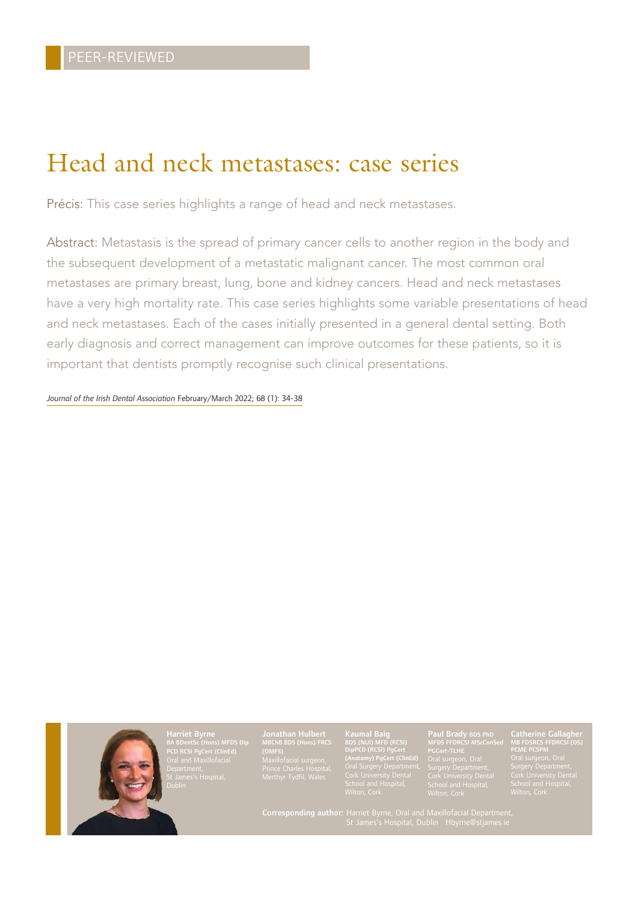## Head and neck metastases: case series

Précis: This case series highlights a range of head and neck metastases.

Abstract: Metastasis is the spread of primary cancer cells to another region in the body and the subsequent development of a metastatic malignant cancer. The most common oral metastases are primary breast, lung, bone and kidney cancers. Head and neck metastases have a very high mortality rate. This case series highlights some variable presentations of head and neck metastases. Each of the cases initially presented in a general dental setting. Both early diagnosis and correct management can improve outcomes for these patients, so it is important that dentists promptly recognise such clinical presentations.

*Journal of the Irish Dental Association* February/March 2022; 68 (1): 34-38



Harriet Byrne BA BDentSc (Hons) MFDS Dip PCD RCSI PgCert (ClinEd) Oral and Maxillofacial

Jonathan Hulbert MBChB BDS (Hons) FRCS (OMFS) Maxillofacial surgeon,

Kaumal Baig BDS (NUI) MFD (RCSI) DipPCD (RCSI) PgCert (Anatomy) PgCert (ClinEd)

#### Paul Brady BDS PhD MFDS FFDRCSI MScConSed

Catherine Gallagher MB FDSRCS FFDRCSI (OS)

Corresponding author: Harriet Byrne, Oral and Maxillofacial Department,